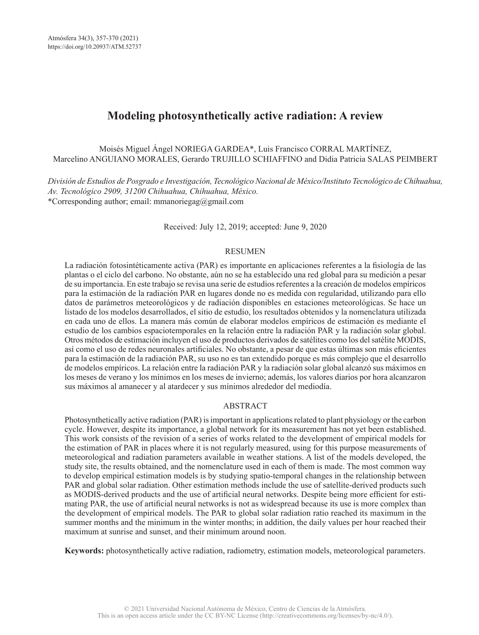# **Modeling photosynthetically active radiation: A review**

Moisés Miguel Ángel NORIEGA GARDEA\*, Luis Francisco CORRAL MARTÍNEZ, Marcelino ANGUIANO MORALES, Gerardo TRUJILLO SCHIAFFINO and Didia Patricia SALAS PEIMBERT

*División de Estudios de Posgrado e Investigación, Tecnológico Nacional de México/Instituto Tecnológico de Chihuahua, Av. Tecnológico 2909, 31200 Chihuahua, Chihuahua, México.* \*Corresponding author; email: mmanoriegag@gmail.com

Received: July 12, 2019; accepted: June 9, 2020

#### RESUMEN

La radiación fotosintéticamente activa (PAR) es importante en aplicaciones referentes a la fisiología de las plantas o el ciclo del carbono. No obstante, aún no se ha establecido una red global para su medición a pesar de su importancia. En este trabajo se revisa una serie de estudios referentes a la creación de modelos empíricos para la estimación de la radiación PAR en lugares donde no es medida con regularidad, utilizando para ello datos de parámetros meteorológicos y de radiación disponibles en estaciones meteorológicas. Se hace un listado de los modelos desarrollados, el sitio de estudio, los resultados obtenidos y la nomenclatura utilizada en cada uno de ellos. La manera más común de elaborar modelos empíricos de estimación es mediante el estudio de los cambios espaciotemporales en la relación entre la radiación PAR y la radiación solar global. Otros métodos de estimación incluyen el uso de productos derivados de satélites como los del satélite MODIS, así como el uso de redes neuronales artificiales. No obstante, a pesar de que estas últimas son más eficientes para la estimación de la radiación PAR, su uso no es tan extendido porque es más complejo que el desarrollo de modelos empíricos. La relación entre la radiación PAR y la radiación solar global alcanzó sus máximos en los meses de verano y los mínimos en los meses de invierno; además, los valores diarios por hora alcanzaron sus máximos al amanecer y al atardecer y sus mínimos alrededor del mediodía.

#### ABSTRACT

Photosynthetically active radiation (PAR) is important in applications related to plant physiology or the carbon cycle. However, despite its importance, a global network for its measurement has not yet been established. This work consists of the revision of a series of works related to the development of empirical models for the estimation of PAR in places where it is not regularly measured, using for this purpose measurements of meteorological and radiation parameters available in weather stations. A list of the models developed, the study site, the results obtained, and the nomenclature used in each of them is made. The most common way to develop empirical estimation models is by studying spatio-temporal changes in the relationship between PAR and global solar radiation. Other estimation methods include the use of satellite-derived products such as MODIS-derived products and the use of artificial neural networks. Despite being more efficient for estimating PAR, the use of artificial neural networks is not as widespread because its use is more complex than the development of empirical models. The PAR to global solar radiation ratio reached its maximum in the summer months and the minimum in the winter months; in addition, the daily values per hour reached their maximum at sunrise and sunset, and their minimum around noon.

**Keywords:** photosynthetically active radiation, radiometry, estimation models, meteorological parameters.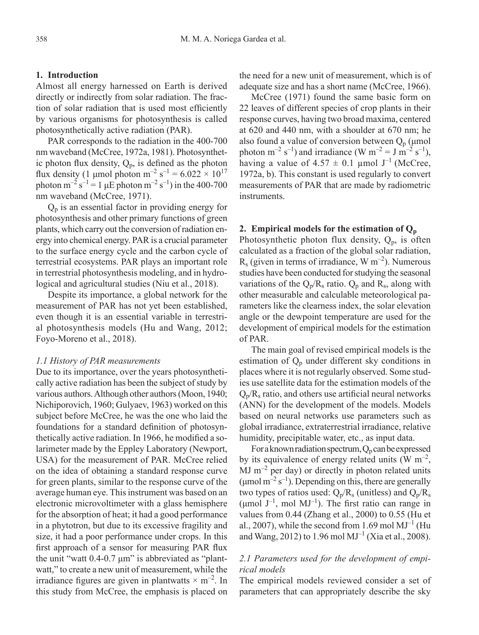## **1. Introduction**

Almost all energy harnessed on Earth is derived directly or indirectly from solar radiation. The fraction of solar radiation that is used most efficiently by various organisms for photosynthesis is called photosynthetically active radiation (PAR).

PAR corresponds to the radiation in the 400-700 nm waveband (McCree, 1972a, 1981). Photosynthetic photon flux density,  $Q_p$ , is defined as the photon flux density (1 µmol photon m<sup>-2</sup> s<sup>-1</sup> = 6.022  $\times$  10<sup>17</sup> photon  $m^{-2} s^{-1} = 1 \mu E$  photon  $m^{-2} s^{-1}$ ) in the 400-700 nm waveband (McCree, 1971).

 $Q_p$  is an essential factor in providing energy for photosynthesis and other primary functions of green plants, which carry out the conversion of radiation energy into chemical energy. PAR is a crucial parameter to the surface energy cycle and the carbon cycle of terrestrial ecosystems. PAR plays an important role in terrestrial photosynthesis modeling, and in hydrological and agricultural studies (Niu et al., 2018).

Despite its importance, a global network for the measurement of PAR has not yet been established, even though it is an essential variable in terrestrial photosynthesis models (Hu and Wang, 2012; Foyo-Moreno et al., 2018).

#### *1.1 History of PAR measurements*

Due to its importance, over the years photosynthetically active radiation has been the subject of study by various authors. Although other authors (Moon, 1940; Nichiporovich, 1960; Gulyaev, 1963) worked on this subject before McCree, he was the one who laid the foundations for a standard definition of photosynthetically active radiation. In 1966, he modified a solarimeter made by the Eppley Laboratory (Newport, USA) for the measurement of PAR. McCree relied on the idea of obtaining a standard response curve for green plants, similar to the response curve of the average human eye. This instrument was based on an electronic microvoltimeter with a glass hemisphere for the absorption of heat; it had a good performance in a phytotron, but due to its excessive fragility and size, it had a poor performance under crops. In this first approach of a sensor for measuring PAR flux the unit "watt 0.4-0.7 μm" is abbreviated as "plantwatt," to create a new unit of measurement, while the irradiance figures are given in plantwatts  $\times$  m<sup>-2</sup>. In this study from McCree, the emphasis is placed on the need for a new unit of measurement, which is of adequate size and has a short name (McCree, 1966).

McCree (1971) found the same basic form on 22 leaves of different species of crop plants in their response curves, having two broad maxima, centered at 620 and 440 nm, with a shoulder at 670 nm; he also found a value of conversion between  $Q_p$  ( $\mu$ mol photon m<sup>-2</sup> s<sup>-1</sup>) and irradiance (W m<sup>-2</sup> = J m<sup>-2</sup> s<sup>-1</sup>), having a value of  $4.57 \pm 0.1$  umol J<sup>-1</sup> (McCree, 1972a, b). This constant is used regularly to convert measurements of PAR that are made by radiometric instruments.

## **2. Empirical models for the estimation of**  $Q_p$

Photosynthetic photon flux density,  $Q_p$ , is often calculated as a fraction of the global solar radiation,  $R_s$  (given in terms of irradiance, W m<sup>-2</sup>). Numerous studies have been conducted for studying the seasonal variations of the  $Q_p/R_s$  ratio.  $Q_p$  and  $R_s$ , along with other measurable and calculable meteorological parameters like the clearness index, the solar elevation angle or the dewpoint temperature are used for the development of empirical models for the estimation of PAR.

The main goal of revised empirical models is the estimation of  $Q_p$  under different sky conditions in places where it is not regularly observed. Some studies use satellite data for the estimation models of the  $Q_p/R_s$  ratio, and others use artificial neural networks (ANN) for the development of the models. Models based on neural networks use parameters such as global irradiance, extraterrestrial irradiance, relative humidity, precipitable water, etc., as input data.

For a known radiation spectrum,  $Q_p$  can be expressed by its equivalence of energy related units (W  $m^{-2}$ ,  $MJ$  m<sup>-2</sup> per day) or directly in photon related units (umol  $m^{-2} s^{-1}$ ). Depending on this, there are generally two types of ratios used:  $Q_p/R_s$  (unitless) and  $Q_p/R_s$ ( $\mu$ mol J<sup>-1</sup>, mol MJ<sup>-1</sup>). The first ratio can range in values from 0.44 (Zhang et al., 2000) to 0.55 (Hu et al., 2007), while the second from 1.69 mol  $MJ<sup>-1</sup>$  (Hu and Wang, 2012) to 1.96 mol  $MJ^{-1}$  (Xia et al., 2008).

### *2.1 Parameters used for the development of empirical models*

The empirical models reviewed consider a set of parameters that can appropriately describe the sky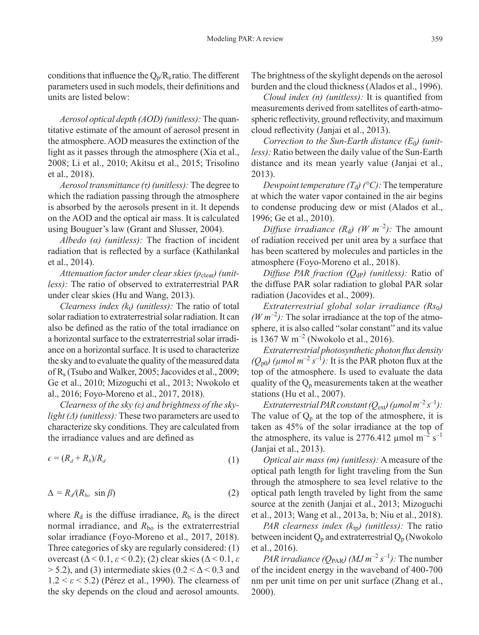conditions that influence the  $Q_p/R_s$  ratio. The different parameters used in such models, their definitions and units are listed below:

*Aerosol optical depth (AOD) (unitless):* The quantitative estimate of the amount of aerosol present in the atmosphere. AOD measures the extinction of the light as it passes through the atmosphere (Xia et al., 2008; Li et al., 2010; Akitsu et al., 2015; Trisolino et al., 2018).

*Aerosol transmittance (τ) (unitless):* The degree to which the radiation passing through the atmosphere is absorbed by the aerosols present in it. It depends on the AOD and the optical air mass. It is calculated using Bouguer's law (Grant and Slusser, 2004).

*Albedo (α) (unitless):* The fraction of incident radiation that is reflected by a surface (Kathilankal et al., 2014).

*Attenuation factor under clear skies (ρ<sub>clear</sub>) (unitless):* The ratio of observed to extraterrestrial PAR under clear skies (Hu and Wang, 2013).

*Clearness index*  $(k_t)$  *(unitless):* The ratio of total solar radiation to extraterrestrial solar radiation. It can also be defined as the ratio of the total irradiance on a horizontal surface to the extraterrestrial solar irradiance on a horizontal surface. It is used to characterize the sky and to evaluate the quality of the measured data of Rs (Tsubo and Walker, 2005; Jacovides et al., 2009; Ge et al., 2010; Mizoguchi et al., 2013; Nwokolo et al., 2016; Foyo-Moreno et al., 2017, 2018).

*Clearness of the sky (ε) and brightness of the skylight (Δ) (unitless):* These two parameters are used to characterize sky conditions. They are calculated from the irradiance values and are defined as

$$
\epsilon = (R_d + R_b)/R_d \tag{1}
$$

$$
\Delta = R_d / (R_{bo} \sin \beta) \tag{2}
$$

where  $R_d$  is the diffuse irradiance,  $R_b$  is the direct normal irradiance, and  $R_{\rm bo}$  is the extraterrestrial solar irradiance (Foyo-Moreno et al., 2017, 2018). Three categories of sky are regularly considered: (1) overcast (Δ < 0.1, *ε* < 0.2); (2) clear skies (Δ < 0.1, *ε*  $> 5.2$ ), and (3) intermediate skies (0.2 <  $\Delta$  < 0.3 and 1.2 < *ε* < 5.2) (Pérez et al., 1990). The clearness of the sky depends on the cloud and aerosol amounts.

The brightness of the skylight depends on the aerosol burden and the cloud thickness (Alados et al., 1996).

*Cloud index (n) (unitless):* It is quantified from measurements derived from satellites of earth-atmospheric reflectivity, ground reflectivity, and maximum cloud reflectivity (Janjai et al., 2013).

Correction to the Sun-Earth distance (E<sub>0</sub>) (unit*less):* Ratio between the daily value of the Sun-Earth distance and its mean yearly value (Janjai et al., 2013).

*Dewpoint temperature*  $(T_d)$  *(°C):* The temperature at which the water vapor contained in the air begins to condense producing dew or mist (Alados et al., 1996; Ge et al., 2010).

*Diffuse irradiance*  $(R_d)$   $(W \, m^{-2})$ : The amount of radiation received per unit area by a surface that has been scattered by molecules and particles in the atmosphere (Foyo-Moreno et al., 2018).

*Diffuse PAR fraction (QdP) (unitless):* Ratio of the diffuse PAR solar radiation to global PAR solar radiation (Jacovides et al., 2009).

*Extraterrestrial global solar irradiance (Rs*0*)*  $(W m^{-2})$ : The solar irradiance at the top of the atmosphere, it is also called "solar constant" and its value is 1367 W  $m^{-2}$  (Nwokolo et al., 2016).

*Extraterrestrial photosynthetic photon flux density*   $(Q_{p0})$  ( $\mu$ mol  $m^{-2}$  s<sup>-1</sup>): It is the PAR photon flux at the top of the atmosphere. Is used to evaluate the data quality of the  $Q_p$  measurements taken at the weather stations (Hu et al., 2007).

*Extraterrestrial PAR constant (Q<sub>ext</sub>) (* $\mu$ *mol m<sup>-2</sup> s<sup>-1</sup>):* The value of  $Q_p$  at the top of the atmosphere, it is taken as 45% of the solar irradiance at the top of the atmosphere, its value is 2776.412  $\mu$ mol m<sup>-2</sup> s<sup>-1</sup> (Janjai et al., 2013).

*Optical air mass (m) (unitless):* A measure of the optical path length for light traveling from the Sun through the atmosphere to sea level relative to the optical path length traveled by light from the same source at the zenith (Janjai et al., 2013; Mizoguchi et al., 2013; Wang et al., 2013a, b; Niu et al., 2018).

*PAR clearness index (* $k_{\text{tp}}$ *) (unitless):* The ratio between incident  $Q_p$  and extraterrestrial  $Q_p$  (Nwokolo et al., 2016).

*PAR irradiance (Q*<sub>PAR</sub>) ( $MJ$   $m^{-2}$   $s^{-1}$ ): The number of the incident energy in the waveband of 400-700 nm per unit time on per unit surface (Zhang et al., 2000).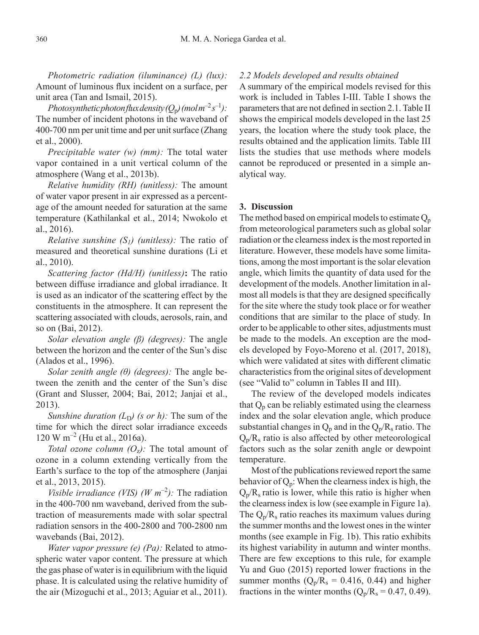*Photometric radiation (iluminance) (L) (lux):* Amount of luminous flux incident on a surface, per unit area (Tan and Ismail, 2015).

*Photosynthetic photon flux density*  $(Q_p)$  *(mol*  $m^{-2} s^{-1}$ *):* The number of incident photons in the waveband of 400-700 nm per unit time and per unit surface (Zhang et al., 2000).

*Precipitable water (w) (mm):* The total water vapor contained in a unit vertical column of the atmosphere (Wang et al., 2013b).

*Relative humidity (RH) (unitless):* The amount of water vapor present in air expressed as a percentage of the amount needed for saturation at the same temperature (Kathilankal et al., 2014; Nwokolo et al., 2016).

*Relative sunshine (S1) (unitless):* The ratio of measured and theoretical sunshine durations (Li et al., 2010).

*Scattering factor (Hd/H) (unitless)***:** The ratio between diffuse irradiance and global irradiance. It is used as an indicator of the scattering effect by the constituents in the atmosphere. It can represent the scattering associated with clouds, aerosols, rain, and so on (Bai, 2012).

*Solar elevation angle (β) (degrees):* The angle between the horizon and the center of the Sun's disc (Alados et al., 1996).

*Solar zenith angle (θ) (degrees):* The angle between the zenith and the center of the Sun's disc (Grant and Slusser, 2004; Bai, 2012; Janjai et al., 2013).

*Sunshine duration*  $(L_D)$  *(s or h)*: The sum of the time for which the direct solar irradiance exceeds  $120 \text{ W m}^{-2}$  (Hu et al., 2016a).

*Total ozone column*  $(O_7)$ *: The total amount of* ozone in a column extending vertically from the Earth's surface to the top of the atmosphere (Janjai et al., 2013, 2015).

*Visible irradiance (VIS)*  $(W \, m^{-2})$ : The radiation in the 400-700 nm waveband, derived from the subtraction of measurements made with solar spectral radiation sensors in the 400-2800 and 700-2800 nm wavebands (Bai, 2012).

*Water vapor pressure (e) (Pa):* Related to atmospheric water vapor content. The pressure at which the gas phase of water is in equilibrium with the liquid phase. It is calculated using the relative humidity of the air (Mizoguchi et al., 2013; Aguiar et al., 2011).

#### *2.2 Models developed and results obtained*

A summary of the empirical models revised for this work is included in Tables I-III. Table I shows the parameters that are not defined in section 2.1. Table II shows the empirical models developed in the last 25 years, the location where the study took place, the results obtained and the application limits. Table III lists the studies that use methods where models cannot be reproduced or presented in a simple analytical way.

#### **3. Discussion**

The method based on empirical models to estimate  $Q_p$ from meteorological parameters such as global solar radiation or the clearness index is the most reported in literature. However, these models have some limitations, among the most important is the solar elevation angle, which limits the quantity of data used for the development of the models. Another limitation in almost all models is that they are designed specifically for the site where the study took place or for weather conditions that are similar to the place of study. In order to be applicable to other sites, adjustments must be made to the models. An exception are the models developed by Foyo-Moreno et al. (2017, 2018), which were validated at sites with different climatic characteristics from the original sites of development (see "Valid to" column in Tables II and III).

The review of the developed models indicates that  $Q_p$  can be reliably estimated using the clearness index and the solar elevation angle, which produce substantial changes in  $Q_p$  and in the  $Q_p/R_s$  ratio. The  $Q_p/R_s$  ratio is also affected by other meteorological factors such as the solar zenith angle or dewpoint temperature.

Most of the publications reviewed report the same behavior of  $Q_p$ : When the clearness index is high, the  $Q_p/R_s$  ratio is lower, while this ratio is higher when the clearness index is low (see example in Figure 1a). The  $Q_p/R_s$  ratio reaches its maximum values during the summer months and the lowest ones in the winter months (see example in Fig. 1b). This ratio exhibits its highest variability in autumn and winter months. There are few exceptions to this rule, for example Yu and Guo (2015) reported lower fractions in the summer months  $(Q_p/R_s = 0.416, 0.44)$  and higher fractions in the winter months  $(Q_p/R_s = 0.47, 0.49)$ .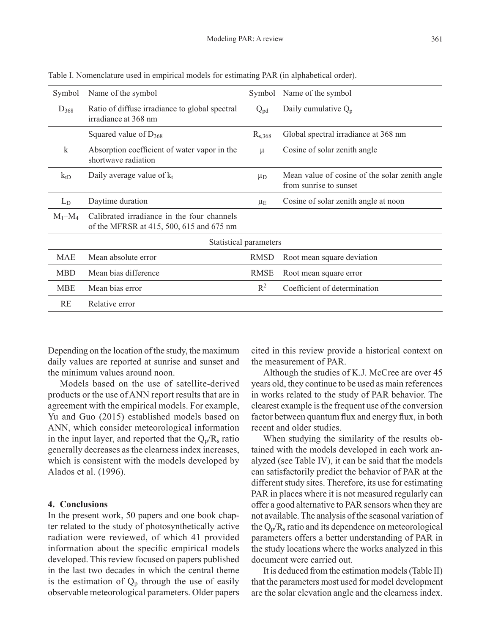| Symbol      | Name of the symbol                                                                     | Symbol                 | Name of the symbol                                                       |
|-------------|----------------------------------------------------------------------------------------|------------------------|--------------------------------------------------------------------------|
| $D_{368}$   | Ratio of diffuse irradiance to global spectral<br>irradiance at 368 nm                 | $Q_{pd}$               | Daily cumulative $Q_p$                                                   |
|             | Squared value of $D_{368}$                                                             | $R_{s,368}$            | Global spectral irradiance at 368 nm                                     |
| $\mathbf k$ | Absorption coefficient of water vapor in the<br>shortwave radiation                    | μ                      | Cosine of solar zenith angle                                             |
| $k_{tD}$    | Daily average value of $k_t$                                                           | $\mu_D$                | Mean value of cosine of the solar zenith angle<br>from sunrise to sunset |
| $L_D$       | Daytime duration                                                                       | $\mu_{\rm E}$          | Cosine of solar zenith angle at noon                                     |
| $M_1-M_4$   | Calibrated irradiance in the four channels<br>of the MFRSR at 415, 500, 615 and 675 nm |                        |                                                                          |
|             |                                                                                        | Statistical parameters |                                                                          |
| MAE         | Mean absolute error                                                                    | <b>RMSD</b>            | Root mean square deviation                                               |
| <b>MBD</b>  | Mean bias difference                                                                   | <b>RMSE</b>            | Root mean square error                                                   |
| <b>MBE</b>  | Mean bias error                                                                        | $R^2$                  | Coefficient of determination                                             |
| RE          | Relative error                                                                         |                        |                                                                          |
|             |                                                                                        |                        |                                                                          |

Table I. Nomenclature used in empirical models for estimating PAR (in alphabetical order).

Depending on the location of the study, the maximum daily values are reported at sunrise and sunset and the minimum values around noon.

Models based on the use of satellite-derived products or the use of ANN report results that are in agreement with the empirical models. For example, Yu and Guo (2015) established models based on ANN, which consider meteorological information in the input layer, and reported that the  $Q_p/R_s$  ratio generally decreases as the clearness index increases, which is consistent with the models developed by Alados et al. (1996).

#### **4. Conclusions**

In the present work, 50 papers and one book chapter related to the study of photosynthetically active radiation were reviewed, of which 41 provided information about the specific empirical models developed. This review focused on papers published in the last two decades in which the central theme is the estimation of  $Q_p$  through the use of easily observable meteorological parameters. Older papers

cited in this review provide a historical context on the measurement of PAR.

Although the studies of K.J. McCree are over 45 years old, they continue to be used as main references in works related to the study of PAR behavior. The clearest example is the frequent use of the conversion factor between quantum flux and energy flux, in both recent and older studies.

When studying the similarity of the results obtained with the models developed in each work analyzed (see Table IV), it can be said that the models can satisfactorily predict the behavior of PAR at the different study sites. Therefore, its use for estimating PAR in places where it is not measured regularly can offer a good alternative to PAR sensors when they are not available. The analysis of the seasonal variation of the  $Q_p/R_s$  ratio and its dependence on meteorological parameters offers a better understanding of PAR in the study locations where the works analyzed in this document were carried out.

It is deduced from the estimation models (Table II) that the parameters most used for model development are the solar elevation angle and the clearness index.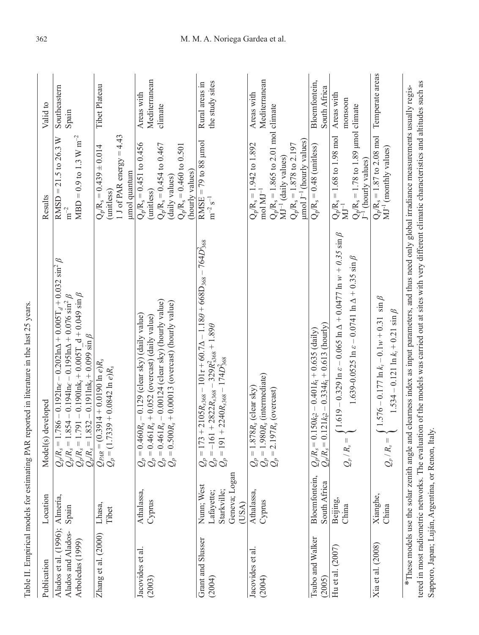| Publication                                                     | Location                                                          | Model(s) developed                                                                                                                                                                                                                                                                                                              | Results                                                                                                                                                                                            | Valid to                               |
|-----------------------------------------------------------------|-------------------------------------------------------------------|---------------------------------------------------------------------------------------------------------------------------------------------------------------------------------------------------------------------------------------------------------------------------------------------------------------------------------|----------------------------------------------------------------------------------------------------------------------------------------------------------------------------------------------------|----------------------------------------|
| Alados et al. (1996);<br>Alados and Alados-<br>Arboledas (1999) | Almería,<br>Spain                                                 | $Q_p/R_s = 1.786 - 0.192$ lnc - 0.202ln $\Delta$ + 0.005T <sub>d</sub> + 0.032 sin <sup>2</sup> $\beta$<br>$Q_p/R_s = 1.854 - 0.194$ lnc - 0.195ln $\Delta$ + 0.076 sin <sup>2</sup> $\beta$<br>$Q_p/R_s = 1.791 - 0.190$ lnk <sub>r</sub> + 0.005T_d + 0.049 sin $\beta$<br>$Q_p/R_s = 1.832 - 0.191$ lnk <sub>r</sub> + 0.099 | $MBD = 0.9$ to 1.3 W m <sup>-2</sup><br>$RMSD = 21.5$ to 26.3 W<br>$\mathrm{m}^{-2}$                                                                                                               | Southeastern<br>Spain                  |
| Zhang et al. (2000)                                             | Lhasa,<br>Tibet                                                   | $Q_{P4R} = (0.3914 + 0.0190 \ln e)R_s$<br>$Q_p = (1.7339 + 0.0842 \ln e)R_s$                                                                                                                                                                                                                                                    | 1 J of PAR energy = $4.43$<br>$Q_p/R_s = 0.439 \pm 0.014$<br>umol quantum<br>(unitless)                                                                                                            | Tibet Plateau                          |
| Jacovides et al<br>(2003)                                       | Athalassa,<br>Cyprus                                              | $0.461R_s - 0.00124$ (clear sky) (hourly value)<br>$0.500Rs + 0.00013$ (overcast) (hourly value)<br>$(0.460Rs - 0.129)$ (clear sky) (daily value)<br>$0.461R_s + 0.052$ (overcast) (daily value)<br>=  =  =  =<br>ပါပါပါ                                                                                                        | $Q_p/R_s = 0.451$ to 0.456<br>$Q_p/R_s = 0.454$ to 0.467<br>$Q_p/R_s = 0.460$ to 0.501<br>(hourly values)<br>(daily values)<br>(unitless)                                                          | Mediterranean<br>Areas with<br>climate |
| <b>Grant and Slusser</b><br>(2004)                              | Geneva; Logan<br>Nunn; West<br>Starkville;<br>Lafayette;<br>(USA) | $\begin{array}{l} \mathcal{Q}_p = 173 + 2105 R_{s368} - 101t + 60.7 \Delta - 1.18 \theta + 668 \text{D}_{368} - 764 D_{368}^2 \\ \mathcal{Q}_p = -161 + 2822 R_{s368} - 329 R_{s368}^2 + 1.89 \theta \\ \mathcal{Q}_p = 191 + 2240 R_{s368} - 174 D_{368}^2 \end{array}$                                                        | RMSE = $79$ to 88 $\mu$ mol<br>$m^{-2} s^{-1}$                                                                                                                                                     | the study sites<br>Rural areas in      |
| Jacovides et al<br>(2004)                                       | Athalassa,<br>Cyprus                                              | $Q_p = 1.878R_s$ , (clear sky)<br>$Q_p = 1.980R_s$ , (intermediate)<br>$Q_p = 2.197R_s$ , (overcast)                                                                                                                                                                                                                            | $Q_p/R_s = 1.865$ to 2.01 mol climate<br>$\mu$ mol J <sup>-1</sup> (hourly values)<br>$Q_p/R_s = 1.942$ to 1.892<br>mol MJ <sup>-1</sup><br>$Q_p/R_s = 1.878$ to 2.197<br>$MJ^{-1}$ (daily values) | Mediterranean<br>Areas with            |
| Tsubo and Walker<br>(2005)                                      | Bloemfontein,<br>South Africa                                     | $Q_p/R_s = 0.150k_0^2 - 0.401k_t + 0.635$ (daily)<br>$Q_p/R_s = 0.121k_0^2 - 0.334k_t + 0.613$ (hourly)                                                                                                                                                                                                                         | $Q_p/R_s = 0.48$ (unitless)                                                                                                                                                                        | Bloemfontein,<br>South Africa          |
| Hu et al. $(2007)$                                              | Beijing,<br>China                                                 | $R_s = \begin{cases} 1.619 - 0.329 \ln \varepsilon - 0.065 \ln \Delta + 0.0477 \ln w + 0.35 \sin \beta \end{cases}$<br>$1.639 - 0.0525 \ln \varepsilon - 0.0741 \ln \Delta + 0.35 \sin \beta$<br>$\widetilde{\mathcal{Q}}_p$                                                                                                    | $Q_p/R_s = 1.78$ to 1.89 µmol climate<br>$Q_p/R_s = 1.68$ to 1.98 mol<br>MJ <sup>-1</sup><br>J <sup>-1</sup> (hourly values)                                                                       | Areas with<br>monsoon                  |
| Xia et al. (2008)                                               | Xianghe,<br>China                                                 | $\int 1.576 - 0.177 \ln k_t - 0.1w + 0.31 \sin \beta$<br>$1.534 - 0.121 \ln k_t + 0.21 \sin \beta$<br>$R_s =$ .<br>$\overline{\mathcal{Q}}_p$                                                                                                                                                                                   | $Q_p/R_s = 1.87$ to 2.08 mol<br>MJ <sup>-1</sup> (monthly values)                                                                                                                                  | Temperate areas                        |
|                                                                 |                                                                   | *These models use the solar zenith angle and clearness index as input parameters, and thus need only global irradiance measurements usually regis-<br>$\sim$<br>J<br>C                                                                                                                                                          | $\ddot{ }$                                                                                                                                                                                         |                                        |

Table II. Empirical models for estimating PAR reported in literature in the last 25 years. Table II. Empirical models for estimating PAR reported in literature in the last 25 years.

tered in most radiometric networks. The evaluation of the models was carried out at sites with very different climatic characteristics and altitudes such as tered in most radiometric networks. The evaluation of the models was carried out at sites with very different climatic characteristics and altitudes such as Sapporo, Japan; Luján, Argentina, or Renon, Italy. Sapporo, Japan; Luján, Argentina, or Renon, Italy.

## 362 M. M. A. Noriega Gardea et al.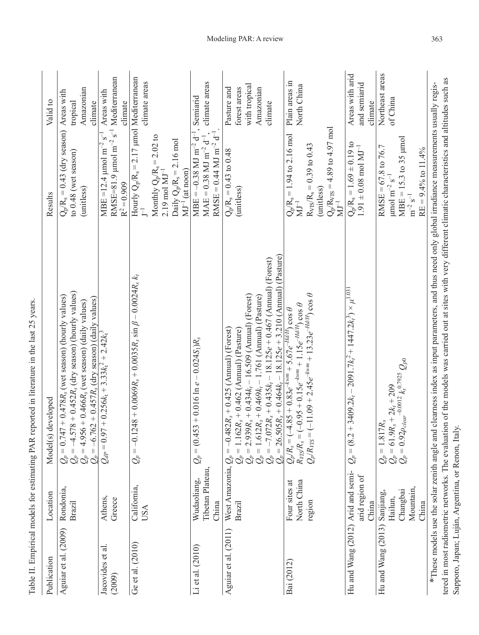| Publication                       | Location                                  | Model(s) developed                                                                                                                                                                                                                                                                                                 | Results                                                                                                                                                              | Valid to                                                             |
|-----------------------------------|-------------------------------------------|--------------------------------------------------------------------------------------------------------------------------------------------------------------------------------------------------------------------------------------------------------------------------------------------------------------------|----------------------------------------------------------------------------------------------------------------------------------------------------------------------|----------------------------------------------------------------------|
| Aguiar et al. (2009)              | Rondonia,<br>Brazil                       | $Q_p = 0.747 + 0.478R_8$ (wet season) (hourly values)<br>$Q_p = -4.578 + 0.452R_8$ (dry season) (hourly values)<br>$Q_p = 4.956 + 0.466R_8$ (wet season) (daily values)<br>$Q_p = -6.762 + 0.457R_8$ (dry season) (daily values)                                                                                   | $Q_p/R_s = 0.43$ (dry season) Areas with<br>to $0.48$ (wet season)<br>(unitless)                                                                                     | Amazonian<br>tropical<br>climate                                     |
| Jacovides et al.<br>(2009)        | Athens,<br>Greece                         | $= 0.97 + 0.256kt + 3.33kt2 + 2.42kt2$<br>$\mathcal{Q}_{d\!P}$ :                                                                                                                                                                                                                                                   | RMSE=81.9 µmol m <sup>-2</sup> s <sup>-1</sup> Mediterranean<br>MBE =12.4 $\mu$ mol m <sup>-2</sup> s <sup>-1</sup><br>$R^2 = 0.909$                                 | Areas with<br>climate                                                |
| Ge et al. $(2010)$                | California,<br>USA                        | $Q_p = -0.1248 + 0.0069R_s + 0.0035R_s \sin \beta - 0.0024R_s k_t$                                                                                                                                                                                                                                                 | Hourly $Q_p/R_s = 2.17 \mu \text{mol}$ Mediterranean $r^{-1}$<br>Monthly $Q_p/R_s = 2.02$ to 2.19 mol $MJ^{-1}$<br>Daily $Q_p/R_s = 2.16$ mol<br>$MJ^{-1}$ (at noon) | climate areas                                                        |
| Li et al. $(2010)$                | Tibetan Plateau<br>Wudaoliang,<br>China   | $Q_p = (0.453 + 0.016 \ln e - 0.024 S_1)R_s$                                                                                                                                                                                                                                                                       | $RMSE = 0.44$ MJ m <sup>-2</sup> d <sup>-1</sup><br>$MBE = -0.38$ MJ m <sup>-2</sup> d <sup>-1</sup><br>$MAE = 0.38 \text{ MJ m}^{-2} \text{ d}^{-1}$ .              | climate areas<br>Semiarid                                            |
| Aguiar et al. (2011)              | West Amazonia,<br><b>Brazil</b>           | $Q_p = 1.162R_s + 0.462$ (Annual) (Pasture)<br>$Q_p = 2.939R_s + 0.434k_t - 16.509$ (Annual) (Forest)<br>$Q_p = 1.612R_s + 0.499k_t - 1.761$ (Annual) (Pasture)<br>$Q_p = -7.072R_s + 0.435k_t - 18.125e + 0.467$ (Annual) (Forest)<br>$Q_p = 26.505R_s + 0.464k_t$<br>$Q_p = -0.482R_s + 0.425$ (Annual) (Forest) | $Q_p/R_s = 0.43$ to 0.48<br>(unitless)                                                                                                                               | with tropical<br>Pasture and<br>Amazonian<br>forest areas<br>climate |
| Bai (2012)                        | North China<br>Four sites at<br>region    | $Q_p/R_{VIS} = (-11.09 + 2.45e^{-k v m} + 13.23e^{-H dH} ) \cos \theta$<br>$Q_p/R_s = (-4.85 + 0.83e^{-k v/m} + 5.67e^{-H dH} \cos \theta$<br>$R_{VIS}/R_s = (-0.95 + 0.15e^{-k v/m} + 1.15e^{-H dH} \cos \theta$                                                                                                  | $Q_p/R_{NTS} = 4.89$ to 4.97 mol<br>MJ <sup>-1</sup><br>$Q_p/R_s = 1.94$ to 2.16 mol<br>$R_{VIS}/R_s = 0.39$ to 0.43<br>(unitless)<br>$\rm MJ^{-1}$                  | Plain areas in<br>North China                                        |
| Hu and Wang (2012) Arid and semi- | arid region of<br>China                   | = $(8.2 + 3409.2k_t - 2091.7k_t^2 + 1447.2k_t^3) \times \mu^{1.031}$<br>$\mathcal{Q}_p$                                                                                                                                                                                                                            | $Q_p/R_s = 1.69 \pm 0.19$ to<br>$1.91\pm0.08$ mol $\rm MJ^{-1}$                                                                                                      | Areas with arid<br>and semiarid<br>climate                           |
| Hu and Wang (2013) Sanjiang,      | Mountain,<br>Changbai<br>Hailun,<br>China | $\begin{array}{l} Q_p = 1.817 R_s \\ Q_p = 61.9 R_s + 2 k_t + 209 \\ Q_p = 0.92 \rho_{clear}^{-0.0012} k_t^{0.7925} Q_{p0} \end{array}$                                                                                                                                                                            | $MBE = 15.3$ to 35 $\mu$ mol<br>RMSE = $67.8$ to 76.7<br>$RE = 9.4\%$ to 11.4%<br>$\mu$ mol m <sup>-2</sup> s <sup>-1</sup><br>$m^{-2}$ $s^{-1}$                     | Northeast areas<br>of China                                          |
|                                   |                                           | tered in most radiometric networks. The evaluation of the models was carried out at sites with very different climatic characteristics and altitudes such as<br>*These models use the solar zenith angle and clearness index as input parameters, and thus need only global irradiance measurements usually regis- |                                                                                                                                                                      |                                                                      |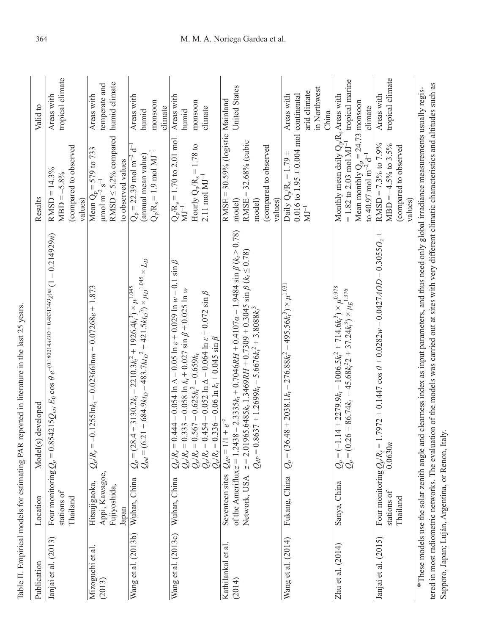| Publication                                                                                   | Location                                                    | Model(s) developed                                                                                                                                                                                                                                                                                                                                        | Results                                                                                                                                                                                             | Valid to                                                           |
|-----------------------------------------------------------------------------------------------|-------------------------------------------------------------|-----------------------------------------------------------------------------------------------------------------------------------------------------------------------------------------------------------------------------------------------------------------------------------------------------------------------------------------------------------|-----------------------------------------------------------------------------------------------------------------------------------------------------------------------------------------------------|--------------------------------------------------------------------|
| Janjai et al. (2013)                                                                          | Four monitoring $Q_p$ =<br>stations of<br>Thailand          | $0.854215Q_{ext}$ $E_0$ $\cos\theta$ $e^{-(0.180214.4OD + 0.483134O}$ $p$ m $(1 - 0.214929$ n)                                                                                                                                                                                                                                                            | (compared to observed<br>$RMSD = 14.3%$<br>$MBD = -5.8%$<br>values)                                                                                                                                 | tropical climate<br>Areas with                                     |
| Mizoguchi et al<br>(2013)                                                                     | Appi, Kawagoe,<br>Hitsujigaoka,<br>Fujiyoshida,<br>Japan    | $= -0.1255$ In $k_t$ – 0.02366Inm + 0.07268e + 1.873<br>$\mathcal{Q}_p$ R <sub>s</sub>                                                                                                                                                                                                                                                                    | RMSD $\leq$ 5.2% compared<br>Mean $Q_p = 579$ to 733<br>$\mu$ mol m <sup>-2</sup> s <sup>-1</sup><br>to observed values                                                                             | humid climate<br>temperate and<br>Areas with                       |
| Wang et al. (2013b)                                                                           | Wuhan, China                                                | $Q_{pd} = (6.21 + 684.9kt_D - 483.7kt_D^2 + 421.5kt_D^3) \times \mu_D^{1.045} \times L_D$<br>$(28.4 + 3130.2k_t - 2210.3k_t^2 + 1926.4k_t^3) \times \mu^{1.045}$<br>$\mathcal{Q}_p$ =                                                                                                                                                                     | ₽<br>$Q_p/R_s = 1.9$ mol MJ <sup>-1</sup><br>(annual mean value)<br>$Q_p = 22.39$ mol m <sup>-2</sup>                                                                                               | Areas with<br>monsoon<br>climate<br>humid                          |
| Wang et al. (2013c)                                                                           | Wuhan, China                                                | $Q_p/R_s = 0.444 - 0.054 \ln \Delta - 0.05 \ln \varepsilon + 0.029 \ln w - 0.1 \sin \beta$<br>$Q_p/R_s = 0.333 - 0.058 \ln k_t + 0.027 \sin \beta + 0.025 \ln w$<br>$Q_p/R_s = 0.567 - 0.625 k_t^2 - 0.659 k_t$<br>$Q_p/R_s = 0.454 - 0.052 \ln \Delta - 0.064 \ln \varepsilon + 0.072 \sin \beta$<br>$Q_p/R_s = 0.336 - 0.06 \ln k_t + 0.045 \sin \beta$ | $Q_p/R_s = 1.70$ to 2.01 mol<br>Hourly $Q_p/R_s = 1.78$ to<br>2.11 mol $MJ^{-1}$<br>$\bar{\rm M}^{-1}$                                                                                              | Areas with<br>monsoon<br>climate<br>humid                          |
| Kathilankal et al<br>(2014)                                                                   | of the Ameriflux $z = 1$<br>Seventeen sites<br>Network, USA | $0.2438 - 2.3335k_t + 0.7046RH + 0.4107\alpha - 1.9484 \sin \beta (k_t > 0.78)$<br>z = 2.01965.6485 $k_t$ 1.3469RH + 0.7309 + 0.3045 sin $\beta$ ( $k_t \le 0.78$ )<br>$Q_{dP} = 0.8637 + 1.2699k_t - 5.6676k_t^2 + 3.8088k_t^3$<br>$Q_{dP} = 1/1 + e^{-z}$                                                                                               | $RMSE = 30.59%$ (logistic Mainland<br>32.68% (cubic<br>(compared to observed<br>$\vert\vert$<br>RMSE-<br>values)<br>model)<br>model)                                                                | United States                                                      |
| Wang et al. (2014)                                                                            | Fukang, China                                               | $(36.48 + 2038.1k_t - 276.88k_t^2 - 495.56k_t^3) \times \mu^{1.031}$<br>$Q_p =$                                                                                                                                                                                                                                                                           | $0.016$ to $1.95 \pm 0.004$ mol<br>Daily $Q_p/R_s = 1.79 \pm$<br>$\rm{M}\rm{J}^{-1}$                                                                                                                | in Northwest<br>arid climate<br>continental<br>Areas with<br>China |
| Zhu et al. $(2014)$                                                                           | Sanya, China                                                | $(-1.14 + 2279.9k_t - 1006.5k_t^2 + 714.6k_t^3) \times \mu^{0.978}$<br>$(0.26 + 86.74k_t - 45.68k_t^2 + 37.24k_t^3) \times \mu_E^{1.376}$<br>$\begin{array}{l} \mathcal{Q}_p = \\ \mathcal{Q}_p = \end{array}$                                                                                                                                            | Monthly mean daily Q <sub>p</sub> /R <sub>s</sub> Areas with<br>Mean monthly $Q_p = 24.73$ monsoon<br>to 40.97 mol m <sup>-2</sup> d <sup>-1</sup> climate<br>$= 1.82$ to 2.03 mol MJ <sup>-1</sup> | tropical marine                                                    |
| Janjai et al. (2015)                                                                          | stations of<br>Thailand                                     | Four monitoring $Q_p/R_s = 1.7972 + 0.1447 \cos \theta + 0.0282w - 0.0427AOD - 0.3055O_z +$<br>0.0630n                                                                                                                                                                                                                                                    | RMSD = $7.3\%$ to $7.9\%$<br>$MBD = -4.5%$ to 3.5%<br>(compared to observed<br>values)                                                                                                              | tropical climate<br>Areas with                                     |
| Sapporo, Japan; Luján, Argentina, or Renon, Italy,<br>*These models use the solar zenith angl |                                                             | tered in most radiometric networks. The evaluation of the models was carried out at sites with very different climatic characteristics and altitudes such as<br>e and clearness index as input parameters, and thus need only global irradiance measurements usually regis-                                                                               |                                                                                                                                                                                                     |                                                                    |

Table II. Empirical models for estimating PAR reported in literature in the last 25 years. Table II. Empirical models for estimating PAR reported in literature in the last 25 years.

## 364 M. M. A. Noriega Gardea et al.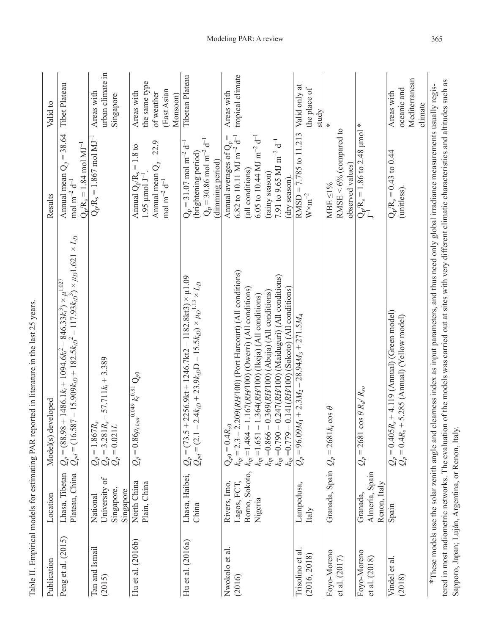| Publication                     | Location                                                 | Model(s) developed                                                                                                                                                                                                                                                                                                                                                                                           | Results                                                                                                                                                                                                                              | Valid to                                                             |
|---------------------------------|----------------------------------------------------------|--------------------------------------------------------------------------------------------------------------------------------------------------------------------------------------------------------------------------------------------------------------------------------------------------------------------------------------------------------------------------------------------------------------|--------------------------------------------------------------------------------------------------------------------------------------------------------------------------------------------------------------------------------------|----------------------------------------------------------------------|
| Peng et al. (2015)              | Lhasa, Tibetan<br>Plateau, China                         | $Q_p = (88.98 + 1486.1k_t + 1094.6k_t^2 - 846.33k_t^3) \times \mu^{1.027}$<br>$Q_{pd} = (16.587 - 15.909k_{tD} + 182.5k_{tD}^2 - 117.93k_{tD}^3) \times \mu_D 1.621 \times L_D$<br>$(88.98 + 1486.1k_t + 1094.6k_t^2 - 846.33k_t^3) \times \mu^{1.027}$                                                                                                                                                      | Annual mean $Q_p = 38.64$<br>$Q_p/R_s = 1.84$ mol MJ <sup>-1</sup><br>mol m $^{-2}$ d $^{-1}$                                                                                                                                        | Tibet Plateau                                                        |
| Tan and Ismail<br>(2015)        | University of<br>Singapore,<br>Singapore<br>National     | $-57.711k_t + 3.389$<br>$-3.281R_s$<br>$Q_p = 1.867 R_s$<br>$Q_p = 3.281 R_s -$<br>$Q_p = 0.021 L$                                                                                                                                                                                                                                                                                                           | $Q_p/R_s = 1.867$ mol $\overline{MJ^{-1}}$                                                                                                                                                                                           | urban climate in<br>Areas with<br>Singapore                          |
| Hu et al. $(2016b)$             | North China<br>Plain, China                              | $\frac{0.86\rho_{clear}}{0.84\varphi_{clear}}$ $k_t^{0.81}$ $Q_{p0}$<br>$Q_p =$                                                                                                                                                                                                                                                                                                                              | Annual mean $Q_p = 22.9$<br>Annual $Q_p/R_s = 1.8$ to<br>$1.95 \mu$ mol J <sup>-1</sup><br>mol m <sup>-2</sup> d <sup>-1</sup>                                                                                                       | the same type<br>(East Asian<br>Areas with<br>of weather<br>Monsoon) |
| Hu et al. $(2016a)$             | Lhasa, Haibei,<br>China                                  | $(73.5 + 2256.9$ kt + 1246.7kt2 – 1182.8kt3) × µ1.09<br>$Q_p = (73.5 + 2256.9kt + 1246.7kt2 - 1182.8kt3) \times \mu_1$ .0<br>$Q_{pd} = (2.1 - 2.4k_{tD} + 23.9k_{tD}D - 15.5k_{tD}) \times \mu_2$ <sup>1.13</sup> × $L_D$                                                                                                                                                                                    | $Q_p = 30.86$ mol m <sup>-2</sup> d <sup>-1</sup><br>$Q_p = 31.07$ mol m <sup>-2</sup> d <sup>-1</sup><br>(brightening period)<br>(dimming period)                                                                                   | Tibetan Plateau                                                      |
| Nwokolo et al.<br>(2016)        | Borno, Sokoto,<br>Lagos, FCT,<br>Rivers, Imo,<br>Nigeria | $k_{tp}$ = 2.3 – 2.209(RH/100) (Port Harcourt) (All conditions)<br>$k_{tp}$ =0.790 – 0.247(RH/100) (Maiduguri) (All conditions)<br>$k_{tp}$ =0.779 – 0.141(RH/100) (Sokoto) (All conditions)<br>$k_p = 1.484 - 1.167(RH/100)$ (Owerri) (All conditions)<br>$k_{tp} = 0.866 - 0.369 (RH1 00)$ (Abuja) (All conditions)<br>$k_{tp} = 1.651 - 1.364 (RH/100)$ (Ikeja) (All conditions)<br>$Q_{p0} = 0.4 R_{s0}$ | 6.82 to 10.11 MJ m <sup>-2</sup> $d^{-1}$<br>Annual averages of $Q_p =$<br>6.05 to 10.44 MJ m <sup>-2</sup> d <sup>-1</sup><br>7.91 to 9.65 MJ m <sup>-2</sup> d <sup>-1</sup><br>(all conditions)<br>(rainy season)<br>(dry season) | tropical climate<br>Areas with                                       |
| Trisolino et al<br>(2016, 2018) | Lampedusa,<br>Italy                                      | $96.09M_1 + 2.3M_2 - 28.94M_3 + 271.5M_4$<br>$Q_p =$                                                                                                                                                                                                                                                                                                                                                         | $RMSD = 7.785$ to 11.213<br>$\mathrm{W}\times\mathrm{m}^{-2}$                                                                                                                                                                        | Valid only at<br>the place of<br>study                               |
| Foyo-Moreno<br>et al. $(2017)$  | Granada, Spain                                           | $2681k$ <sub>r</sub> cos $\theta$<br>Ш<br>$\mathcal{Q}_p$                                                                                                                                                                                                                                                                                                                                                    | RMSE < $6\%$ (compared to<br>observed values)<br>MBE<1%                                                                                                                                                                              | ₩                                                                    |
| Foyo-Moreno<br>et al. (2018)    | Almería, Spain<br>Renon, Italy<br>Granada,               | 2681 $\cos \theta R_d/R_{so}$<br>$Q_p =$                                                                                                                                                                                                                                                                                                                                                                     | $Q_p/R_s = 1.86$ to 2.48 µmol $J^{-1}$                                                                                                                                                                                               | ⋇                                                                    |
| Vindel et al.<br>(2018)         | Spain                                                    | $Q_p = 0.405R_s + 4.119$ (Annual) (Green model)<br>$Q_p = 0.4R_s + 5.285$ (Annual) (Yellow model)                                                                                                                                                                                                                                                                                                            | $Q_p/R_s = 0.43$ to 0.44<br>(unitless)                                                                                                                                                                                               | Mediterranean<br>oceanic and<br>Areas with<br>climate                |
|                                 |                                                          | tered in most radiometric networks. The evaluation of the models was carried out at sites with very different climatic characteristics and altitudes such as<br>*These models use the solar zenith angle and clearness index as input parameters, and thus need only global irradiance measurements usually regis-                                                                                           |                                                                                                                                                                                                                                      |                                                                      |

Sapporo, Japan; Luján, Argentina, or Renon, Italy.

Sapporo, Japan; Luján, Argentina, or Renon, Italy.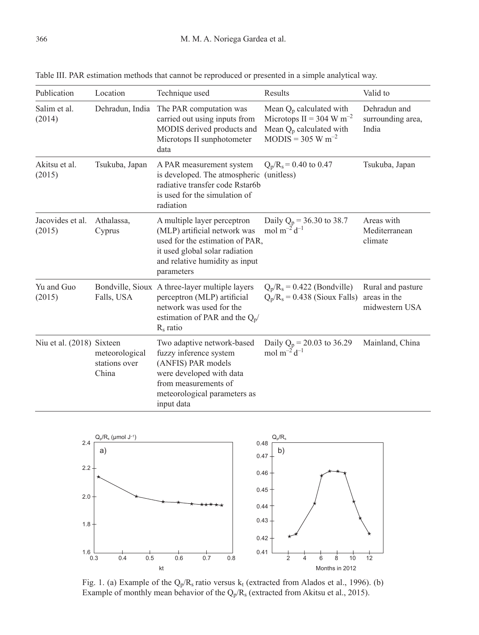| Publication                | Location                                 | Technique used                                                                                                                                                                   | Results                                                                                                                 | Valid to                                            |
|----------------------------|------------------------------------------|----------------------------------------------------------------------------------------------------------------------------------------------------------------------------------|-------------------------------------------------------------------------------------------------------------------------|-----------------------------------------------------|
| Salim et al.<br>(2014)     | Dehradun, India                          | The PAR computation was<br>carried out using inputs from<br>MODIS derived products and<br>Microtops II sunphotometer<br>data                                                     | Mean $Q_p$ calculated with<br>Microtops II = 304 W m <sup>-2</sup><br>Mean $Q_p$ calculated with<br>$MODIS = 305 W m-2$ | Dehradun and<br>surrounding area,<br>India          |
| Akitsu et al.<br>(2015)    | Tsukuba, Japan                           | A PAR measurement system<br>is developed. The atmospheric<br>radiative transfer code Rstar6b<br>is used for the simulation of<br>radiation                                       | $Q_p/R_s = 0.40$ to 0.47<br>(unitless)                                                                                  | Tsukuba, Japan                                      |
| Jacovides et al.<br>(2015) | Athalassa,<br>Cyprus                     | A multiple layer perceptron<br>(MLP) artificial network was<br>used for the estimation of PAR,<br>it used global solar radiation<br>and relative humidity as input<br>parameters | Daily $Q_p = 36.30$ to 38.7<br>mol $m^{-2}d^{-1}$                                                                       | Areas with<br>Mediterranean<br>climate              |
| Yu and Guo<br>(2015)       | Falls, USA                               | Bondville, Sioux A three-layer multiple layers<br>perceptron (MLP) artificial<br>network was used for the<br>estimation of PAR and the $Q_p$ /<br>$R_s$ ratio                    | $Q_p/R_s = 0.422$ (Bondville)<br>$Q_p/R_s = 0.438$ (Sioux Falls)                                                        | Rural and pasture<br>areas in the<br>midwestern USA |
| Niu et al. (2018) Sixteen  | meteorological<br>stations over<br>China | Two adaptive network-based<br>fuzzy inference system<br>(ANFIS) PAR models<br>were developed with data<br>from measurements of<br>meteorological parameters as<br>input data     | Daily $Q_p = 20.03$ to 36.29<br>mol $m^{-2}d^{-1}$                                                                      | Mainland, China                                     |

Table III. PAR estimation methods that cannot be reproduced or presented in a simple analytical way.



Fig. 1. (a) Example of the  $Q_p/R_s$  ratio versus  $k_t$  (extracted from Alados et al., 1996). (b) Example of monthly mean behavior of the  $Q_p/R_s$  (extracted from Akitsu et al., 2015).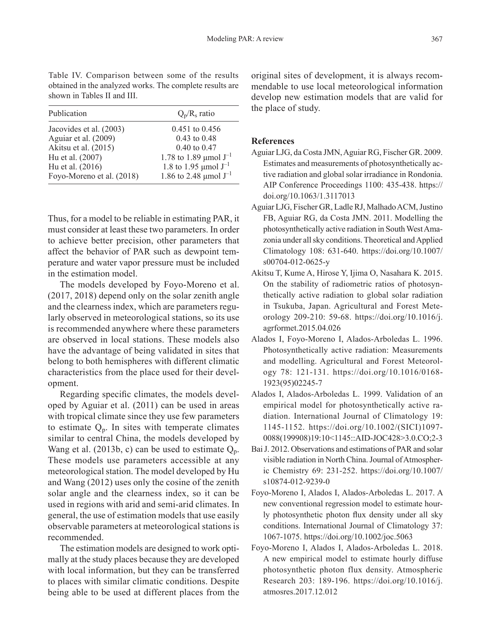| Publication               | $Q_p/R_s$ ratio                       |
|---------------------------|---------------------------------------|
| Jacovides et al. (2003)   | $0.451$ to $0.456$                    |
| Aguiar et al. (2009)      | $0.43$ to $0.48$                      |
| Akitsu et al. (2015)      | $0.40 \text{ to } 0.47$               |
| Hu et al. (2007)          | 1.78 to 1.89 µmol $J^{-1}$            |
| Hu et al. (2016)          | 1.8 to 1.95 $\mu$ mol J <sup>-1</sup> |
| Foyo-Moreno et al. (2018) | 1.86 to 2.48 µmol $J^{-1}$            |

Table IV. Comparison between some of the results obtained in the analyzed works. The complete results are shown in Tables II and III.

Thus, for a model to be reliable in estimating PAR, it must consider at least these two parameters. In order to achieve better precision, other parameters that affect the behavior of PAR such as dewpoint temperature and water vapor pressure must be included in the estimation model.

The models developed by Foyo-Moreno et al. (2017, 2018) depend only on the solar zenith angle and the clearness index, which are parameters regularly observed in meteorological stations, so its use is recommended anywhere where these parameters are observed in local stations. These models also have the advantage of being validated in sites that belong to both hemispheres with different climatic characteristics from the place used for their development.

Regarding specific climates, the models developed by Aguiar et al. (2011) can be used in areas with tropical climate since they use few parameters to estimate  $Q_p$ . In sites with temperate climates similar to central China, the models developed by Wang et al. (2013b, c) can be used to estimate  $Q_p$ . These models use parameters accessible at any meteorological station. The model developed by Hu and Wang (2012) uses only the cosine of the zenith solar angle and the clearness index, so it can be used in regions with arid and semi-arid climates. In general, the use of estimation models that use easily observable parameters at meteorological stations is recommended.

The estimation models are designed to work optimally at the study places because they are developed with local information, but they can be transferred to places with similar climatic conditions. Despite being able to be used at different places from the

original sites of development, it is always recommendable to use local meteorological information develop new estimation models that are valid for the place of study.

#### **References**

- Aguiar LJG, da Costa JMN, Aguiar RG, Fischer GR. 2009. Estimates and measurements of photosynthetically active radiation and global solar irradiance in Rondonia. AIP Conference Proceedings 1100: 435-438. https:// doi.org/10.1063/1.3117013
- Aguiar LJG, Fischer GR, Ladle RJ, Malhado ACM, Justino FB, Aguiar RG, da Costa JMN. 2011. Modelling the photosynthetically active radiation in South West Amazonia under all sky conditions. Theoretical and Applied Climatology 108: 631-640. https://doi.org/10.1007/ s00704-012-0625-y
- Akitsu T, Kume A, Hirose Y, Ijima O, Nasahara K. 2015. On the stability of radiometric ratios of photosynthetically active radiation to global solar radiation in Tsukuba, Japan. Agricultural and Forest Meteorology 209-210: 59-68. https://doi.org/10.1016/j. agrformet.2015.04.026
- Alados I, Foyo-Moreno I, Alados-Arboledas L. 1996. Photosynthetically active radiation: Measurements and modelling. Agricultural and Forest Meteorology 78: 121-131. https://doi.org/10.1016/0168- 1923(95)02245-7
- Alados I, Alados-Arboledas L. 1999. Validation of an empirical model for photosynthetically active radiation. International Journal of Climatology 19: 1145-1152. https://doi.org/10.1002/(SICI)1097- 0088(199908)19:10<1145::AID-JOC428>3.0.CO;2-3
- Bai J. 2012. Observations and estimations of PAR and solar visible radiation in North China. Journal of Atmospheric Chemistry 69: 231-252. https://doi.org/10.1007/ s10874-012-9239-0
- Foyo-Moreno I, Alados I, Alados-Arboledas L. 2017. A new conventional regression model to estimate hourly photosynthetic photon flux density under all sky conditions. International Journal of Climatology 37: 1067-1075. https://doi.org/10.1002/joc.5063
- Foyo-Moreno I, Alados I, Alados-Arboledas L. 2018. A new empirical model to estimate hourly diffuse photosynthetic photon flux density. Atmospheric Research 203: 189-196. https://doi.org/10.1016/j. atmosres.2017.12.012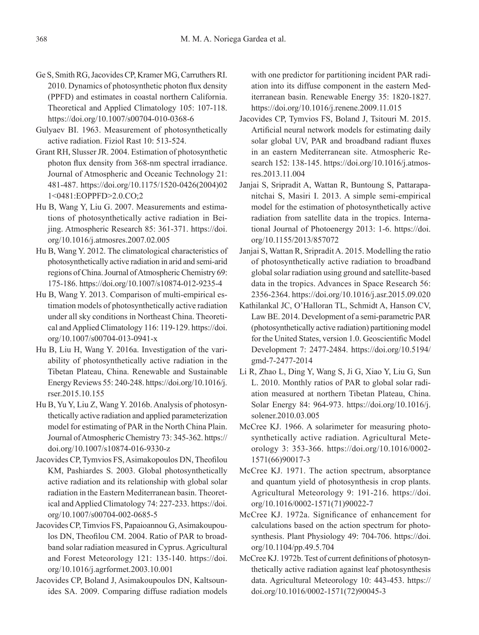- Ge S, Smith RG, Jacovides CP, Kramer MG, Carruthers RI. 2010. Dynamics of photosynthetic photon flux density (PPFD) and estimates in coastal northern California. Theoretical and Applied Climatology 105: 107-118. https://doi.org/10.1007/s00704-010-0368-6
- Gulyaev BI. 1963. Measurement of photosynthetically active radiation. Fiziol Rast 10: 513-524.
- Grant RH, Slusser JR. 2004. Estimation of photosynthetic photon flux density from 368-nm spectral irradiance. Journal of Atmospheric and Oceanic Technology 21: 481-487. https://doi.org/10.1175/1520-0426(2004)02 1<0481:EOPPFD>2.0.CO;2
- Hu B, Wang Y, Liu G. 2007. Measurements and estimations of photosynthetically active radiation in Beijing. Atmospheric Research 85: 361-371. https://doi. org/10.1016/j.atmosres.2007.02.005
- Hu B, Wang Y. 2012. The climatological characteristics of photosynthetically active radiation in arid and semi-arid regions of China. Journal of Atmospheric Chemistry 69: 175-186. https://doi.org/10.1007/s10874-012-9235-4
- Hu B, Wang Y. 2013. Comparison of multi-empirical estimation models of photosynthetically active radiation under all sky conditions in Northeast China. Theoretical and Applied Climatology 116: 119-129. https://doi. org/10.1007/s00704-013-0941-x
- Hu B, Liu H, Wang Y. 2016a. Investigation of the variability of photosynthetically active radiation in the Tibetan Plateau, China. Renewable and Sustainable Energy Reviews 55: 240-248. https://doi.org/10.1016/j. rser.2015.10.155
- Hu B, Yu Y, Liu Z, Wang Y. 2016b. Analysis of photosynthetically active radiation and applied parameterization model for estimating of PAR in the North China Plain. Journal of Atmospheric Chemistry 73: 345-362. https:// doi.org/10.1007/s10874-016-9330-z
- Jacovides CP, Tymvios FS, Asimakopoulos DN, Theofilou KM, Pashiardes S. 2003. Global photosynthetically active radiation and its relationship with global solar radiation in the Eastern Mediterranean basin. Theoretical and Applied Climatology 74: 227-233. https://doi. org/10.1007/s00704-002-0685-5
- Jacovides CP, Timvios FS, Papaioannou G, Asimakoupoulos DN, Theofilou CM. 2004. Ratio of PAR to broadband solar radiation measured in Cyprus. Agricultural and Forest Meteorology 121: 135-140. https://doi. org/10.1016/j.agrformet.2003.10.001
- Jacovides CP, Boland J, Asimakoupoulos DN, Kaltsounides SA. 2009. Comparing diffuse radiation models

with one predictor for partitioning incident PAR radiation into its diffuse component in the eastern Mediterranean basin. Renewable Energy 35: 1820-1827. https://doi.org/10.1016/j.renene.2009.11.015

- Jacovides CP, Tymvios FS, Boland J, Tsitouri M. 2015. Artificial neural network models for estimating daily solar global UV, PAR and broadband radiant fluxes in an eastern Mediterranean site. Atmospheric Research 152: 138-145. https://doi.org/10.1016/j.atmosres.2013.11.004
- Janjai S, Sripradit A, Wattan R, Buntoung S, Pattarapanitchai S, Masiri I. 2013. A simple semi-empirical model for the estimation of photosynthetically active radiation from satellite data in the tropics. International Journal of Photoenergy 2013: 1-6. https://doi. org/10.1155/2013/857072
- Janjai S, Wattan R, Sripradit A. 2015. Modelling the ratio of photosynthetically active radiation to broadband global solar radiation using ground and satellite-based data in the tropics. Advances in Space Research 56: 2356-2364. https://doi.org/10.1016/j.asr.2015.09.020
- Kathilankal JC, O'Halloran TL, Schmidt A, Hanson CV, Law BE. 2014. Development of a semi-parametric PAR (photosynthetically active radiation) partitioning model for the United States, version 1.0. Geoscientific Model Development 7: 2477-2484. https://doi.org/10.5194/ gmd-7-2477-2014
- Li R, Zhao L, Ding Y, Wang S, Ji G, Xiao Y, Liu G, Sun L. 2010. Monthly ratios of PAR to global solar radiation measured at northern Tibetan Plateau, China. Solar Energy 84: 964-973. https://doi.org/10.1016/j. solener.2010.03.005
- McCree KJ. 1966. A solarimeter for measuring photosynthetically active radiation. Agricultural Meteorology 3: 353-366. https://doi.org/10.1016/0002- 1571(66)90017-3
- McCree KJ. 1971. The action spectrum, absorptance and quantum yield of photosynthesis in crop plants. Agricultural Meteorology 9: 191-216. https://doi. org/10.1016/0002-1571(71)90022-7
- McCree KJ. 1972a. Significance of enhancement for calculations based on the action spectrum for photosynthesis. Plant Physiology 49: 704-706. https://doi. org/10.1104/pp.49.5.704
- McCree KJ. 1972b. Test of current definitions of photosynthetically active radiation against leaf photosynthesis data. Agricultural Meteorology 10: 443-453. https:// doi.org/10.1016/0002-1571(72)90045-3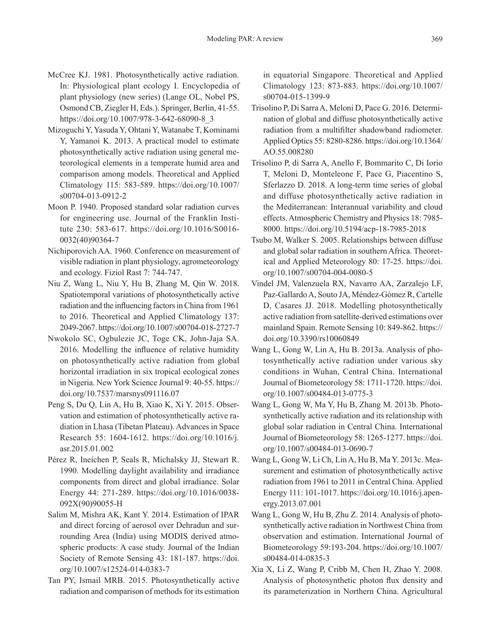- McCree KJ. 1981. Photosynthetically active radiation. In: Physiological plant ecology I. Encyclopedia of plant physiology (new series) (Lange OL, Nobel PS, Osmond CB, Ziegler H, Eds.). Springer, Berlin, 41-55. https://doi.org/10.1007/978-3-642-68090-8\_3
- Mizoguchi Y, Yasuda Y, Ohtani Y, Watanabe T, Kominami Y, Yamanoi K. 2013. A practical model to estimate photosynthetically active radiation using general meteorological elements in a temperate humid area and comparison among models. Theoretical and Applied Climatology 115: 583-589. https://doi.org/10.1007/ s00704-013-0912-2
- Moon P. 1940. Proposed standard solar radiation curves for engineering use. Journal of the Franklin Institute 230: 583-617. https://doi.org/10.1016/S0016- 0032(40)90364-7
- Nichiporovich AA. 1960. Conference on measurement of visible radiation in plant physiology, agrometeorology and ecology. Fiziol Rast 7: 744-747.
- Niu Z, Wang L, Niu Y, Hu B, Zhang M, Qin W. 2018. Spatiotemporal variations of photosynthetically active radiation and the influencing factors in China from 1961 to 2016. Theoretical and Applied Climatology 137: 2049-2067. https://doi.org/10.1007/s00704-018-2727-7
- Nwokolo SC, Ogbulezie JC, Toge CK, John-Jaja SA. 2016. Modelling the influence of relative humidity on photosynthetically active radiation from global horizontal irradiation in six tropical ecological zones in Nigeria. New York Science Journal 9: 40-55. https:// doi.org/10.7537/marsnys091116.07
- Peng S, Du Q, Lin A, Hu B, Xiao K, Xi Y. 2015. Observation and estimation of photosynthetically active radiation in Lhasa (Tibetan Plateau). Advances in Space Research 55: 1604-1612. https://doi.org/10.1016/j. asr.2015.01.002
- Pérez R, Ineichen P, Seals R, Michalsky JJ, Stewart R. 1990. Modelling daylight availability and irradiance components from direct and global irradiance. Solar Energy 44: 271-289. https://doi.org/10.1016/0038- 092X(90)90055-H
- Salim M, Mishra AK, Kant Y. 2014. Estimation of IPAR and direct forcing of aerosol over Dehradun and surrounding Area (India) using MODIS derived atmospheric products: A case study. Journal of the Indian Society of Remote Sensing 43: 181-187. https://doi. org/10.1007/s12524-014-0383-7
- Tan PY, Ismail MRB. 2015. Photosynthetically active radiation and comparison of methods for its estimation

in equatorial Singapore. Theoretical and Applied Climatology 123: 873-883. https://doi.org/10.1007/ s00704-015-1399-9

- Trisolino P, Di Sarra A, Meloni D, Pace G. 2016. Determination of global and diffuse photosynthetically active radiation from a multifilter shadowband radiometer. Applied Optics 55: 8280-8286. https://doi.org/10.1364/ AO.55.008280
- Trisolino P, di Sarra A, Anello F, Bommarito C, Di Iorio T, Meloni D, Monteleone F, Pace G, Piacentino S, Sferlazzo D. 2018. A long-term time series of global and diffuse photosynthetically active radiation in the Mediterranean: Interannual variability and cloud effects. Atmospheric Chemistry and Physics 18: 7985- 8000. https://doi.org/10.5194/acp-18-7985-2018
- Tsubo M, Walker S. 2005. Relationships between diffuse and global solar radiation in southern Africa. Theoretical and Applied Meteorology 80: 17-25. https://doi. org/10.1007/s00704-004-0080-5
- Vindel JM, Valenzuela RX, Navarro AA, Zarzalejo LF, Paz-Gallardo A, Souto JA, Méndez-Gómez R, Cartelle D, Casares JJ. 2018. Modelling photosynthetically active radiation from satellite-derived estimations over mainland Spain. Remote Sensing 10: 849-862. https:// doi.org/10.3390/rs10060849
- Wang L, Gong W, Lin A, Hu B. 2013a. Analysis of photosynthetically active radiation under various sky conditions in Wuhan, Central China. International Journal of Biometeorology 58: 1711-1720. https://doi. org/10.1007/s00484-013-0775-3
- Wang L, Gong W, Ma Y, Hu B, Zhang M. 2013b. Photosynthetically active radiation and its relationship with global solar radiation in Central China. International Journal of Biometeorology 58: 1265-1277. https://doi. org/10.1007/s00484-013-0690-7
- Wang L, Gong W, Li Ch, Lin A, Hu B, Ma Y. 2013c. Measurement and estimation of photosynthetically active radiation from 1961 to 2011 in Central China. Applied Energy 111: 101-1017. https://doi.org/10.1016/j.apenergy.2013.07.001
- Wang L, Gong W, Hu B, Zhu Z. 2014. Analysis of photosynthetically active radiation in Northwest China from observation and estimation. International Journal of Biometeorology 59:193-204. https://doi.org/10.1007/ s00484-014-0835-3
- Xia X, Li Z, Wang P, Cribb M, Chen H, Zhao Y. 2008. Analysis of photosynthetic photon flux density and its parameterization in Northern China. Agricultural